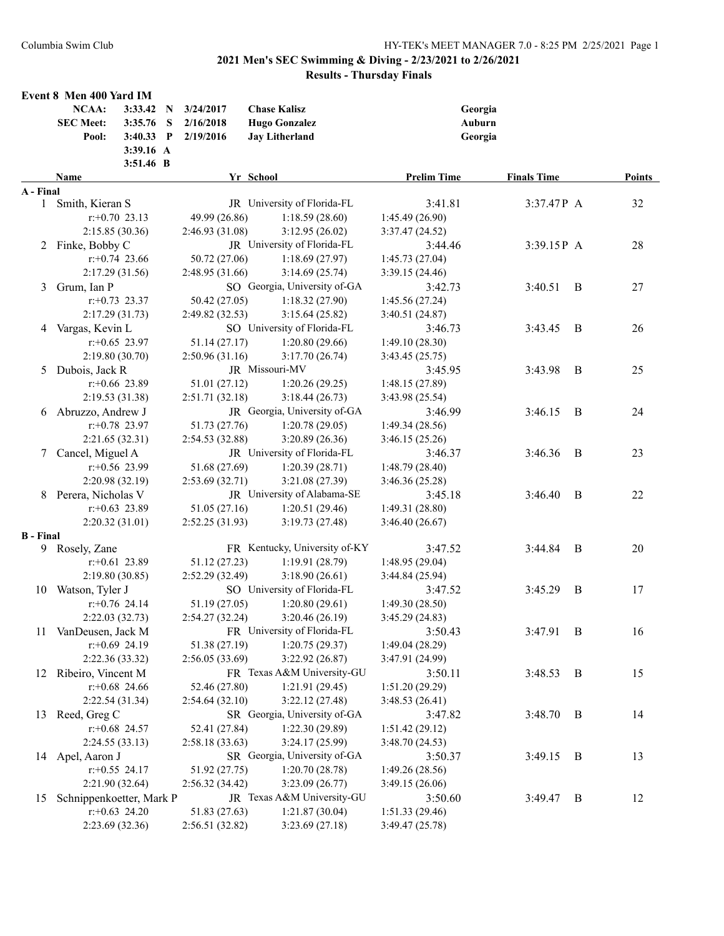|                  | Event 8 Men 400 Yard IM<br>NCAA: | 3:33.42 N         |   | 3/24/2017       | <b>Chase Kalisz</b>           |                    | Georgia            |                |        |
|------------------|----------------------------------|-------------------|---|-----------------|-------------------------------|--------------------|--------------------|----------------|--------|
|                  | <b>SEC Meet:</b>                 | 3:35.76           | S | 2/16/2018       | <b>Hugo Gonzalez</b>          |                    | Auburn             |                |        |
|                  | Pool:                            | 3:40.33 P         |   | 2/19/2016       | <b>Jay Litherland</b>         |                    | Georgia            |                |        |
|                  |                                  | 3:39.16 A         |   |                 |                               |                    |                    |                |        |
|                  |                                  | 3:51.46 B         |   |                 |                               |                    |                    |                |        |
|                  | <b>Name</b>                      |                   |   |                 | Yr School                     | <b>Prelim Time</b> | <b>Finals Time</b> |                | Points |
| A - Final        |                                  |                   |   |                 |                               |                    |                    |                |        |
|                  | 1 Smith, Kieran S                |                   |   |                 | JR University of Florida-FL   | 3:41.81            | 3:37.47P A         |                | 32     |
|                  |                                  | $r: +0.70$ 23.13  |   | 49.99 (26.86)   | 1:18.59(28.60)                | 1:45.49(26.90)     |                    |                |        |
|                  |                                  | 2:15.85(30.36)    |   | 2:46.93(31.08)  | 3:12.95(26.02)                | 3:37.47(24.52)     |                    |                |        |
|                  | 2 Finke, Bobby C                 |                   |   |                 | JR University of Florida-FL   | 3:44.46            | 3:39.15P A         |                | 28     |
|                  |                                  | $r+0.74$ 23.66    |   | 50.72 (27.06)   | 1:18.69(27.97)                | 1:45.73(27.04)     |                    |                |        |
|                  |                                  | 2:17.29(31.56)    |   | 2:48.95(31.66)  | 3:14.69(25.74)                | 3:39.15(24.46)     |                    |                |        |
| 3                | Grum, Ian P                      |                   |   |                 | SO Georgia, University of-GA  | 3:42.73            | 3:40.51            | B              | 27     |
|                  |                                  | $r: +0.73$ 23.37  |   | 50.42 (27.05)   | 1:18.32(27.90)                | 1:45.56(27.24)     |                    |                |        |
|                  |                                  | 2:17.29(31.73)    |   | 2:49.82(32.53)  | 3:15.64(25.82)                | 3:40.51(24.87)     |                    |                |        |
| 4                | Vargas, Kevin L                  |                   |   |                 | SO University of Florida-FL   | 3:46.73            | 3:43.45            | B              | 26     |
|                  |                                  | $r: +0.65$ 23.97  |   | 51.14 (27.17)   | 1:20.80(29.66)                | 1:49.10(28.30)     |                    |                |        |
|                  |                                  | 2:19.80(30.70)    |   | 2:50.96 (31.16) | 3:17.70(26.74)                | 3:43.45(25.75)     |                    |                |        |
| 5                | Dubois, Jack R                   |                   |   |                 | JR Missouri-MV                | 3:45.95            | 3:43.98            | B              | 25     |
|                  |                                  | $r$ :+0.66 23.89  |   | 51.01 (27.12)   | 1:20.26(29.25)                | 1:48.15 (27.89)    |                    |                |        |
|                  |                                  | 2:19.53 (31.38)   |   | 2:51.71(32.18)  | 3:18.44(26.73)                | 3:43.98 (25.54)    |                    |                |        |
| 6                | Abruzzo, Andrew J                |                   |   |                 | JR Georgia, University of-GA  | 3:46.99            | 3:46.15            | B              | 24     |
|                  |                                  | $r.+0.78$ 23.97   |   | 51.73 (27.76)   | 1:20.78(29.05)                | 1:49.34(28.56)     |                    |                |        |
|                  |                                  | 2:21.65(32.31)    |   | 2:54.53 (32.88) | 3:20.89(26.36)                | 3:46.15(25.26)     |                    |                |        |
| 7                | Cancel, Miguel A                 |                   |   |                 | JR University of Florida-FL   | 3:46.37            | 3:46.36            | B              | 23     |
|                  |                                  | $r$ :+0.56 23.99  |   | 51.68 (27.69)   | 1:20.39(28.71)                | 1:48.79 (28.40)    |                    |                |        |
|                  |                                  | 2:20.98(32.19)    |   | 2:53.69(32.71)  | 3:21.08 (27.39)               | 3:46.36 (25.28)    |                    |                |        |
|                  | 8 Perera, Nicholas V             |                   |   |                 | JR University of Alabama-SE   | 3:45.18            | 3:46.40            | B              | 22     |
|                  |                                  | $r: +0.63$ 23.89  |   | 51.05 (27.16)   | 1:20.51(29.46)                | 1:49.31 (28.80)    |                    |                |        |
|                  |                                  | 2:20.32(31.01)    |   | 2:52.25 (31.93) | 3:19.73(27.48)                | 3:46.40(26.67)     |                    |                |        |
| <b>B</b> - Final |                                  |                   |   |                 |                               |                    |                    |                |        |
|                  | 9 Rosely, Zane                   |                   |   |                 | FR Kentucky, University of-KY | 3:47.52            | 3:44.84            | B              | 20     |
|                  |                                  | $r: +0.61$ 23.89  |   | 51.12 (27.23)   | 1:19.91(28.79)                | 1:48.95 (29.04)    |                    |                |        |
|                  |                                  | 2:19.80(30.85)    |   | 2:52.29 (32.49) | 3:18.90(26.61)                | 3:44.84(25.94)     |                    |                |        |
| 10               | Watson, Tyler J                  |                   |   |                 | SO University of Florida-FL   | 3:47.52            | 3:45.29            | B              | 17     |
|                  |                                  | $r+0.76$ 24.14    |   | 51.19 (27.05)   | 1:20.80(29.61)                | 1:49.30(28.50)     |                    |                |        |
|                  |                                  | 2:22.03(32.73)    |   | 2:54.27 (32.24) | 3:20.46(26.19)                | 3:45.29(24.83)     |                    |                |        |
|                  | 11 VanDeusen, Jack M             |                   |   |                 | FR University of Florida-FL   | 3:50.43            | 3:47.91            | $\overline{B}$ | 16     |
|                  |                                  | $r.+0.69$ 24.19   |   | 51.38 (27.19)   | 1:20.75(29.37)                | 1:49.04 (28.29)    |                    |                |        |
|                  |                                  | 2:22.36 (33.32)   |   | 2:56.05(33.69)  | 3:22.92 (26.87)               | 3:47.91 (24.99)    |                    |                |        |
| 12               | Ribeiro, Vincent M               |                   |   |                 | FR Texas A&M University-GU    | 3:50.11            | 3:48.53 B          |                | 15     |
|                  |                                  | $r.+0.68$ 24.66   |   | 52.46 (27.80)   | 1:21.91(29.45)                | 1:51.20 (29.29)    |                    |                |        |
|                  |                                  | 2:22.54 (31.34)   |   | 2:54.64(32.10)  | 3:22.12(27.48)                | 3:48.53(26.41)     |                    |                |        |
| 13               | Reed, Greg C                     |                   |   |                 | SR Georgia, University of-GA  | 3:47.82            | 3:48.70            | $\overline{B}$ | 14     |
|                  |                                  | $r: +0.68$ 24.57  |   | 52.41 (27.84)   | 1:22.30(29.89)                | 1:51.42(29.12)     |                    |                |        |
|                  |                                  | 2:24.55(33.13)    |   | 2:58.18 (33.63) | 3:24.17 (25.99)               | 3:48.70 (24.53)    |                    |                |        |
|                  | 14 Apel, Aaron J                 |                   |   |                 | SR Georgia, University of-GA  | 3:50.37            | 3:49.15            | $\overline{B}$ | 13     |
|                  |                                  | $r$ : +0.55 24.17 |   | 51.92 (27.75)   | 1:20.70(28.78)                | 1:49.26(28.56)     |                    |                |        |
|                  |                                  | 2:21.90 (32.64)   |   | 2:56.32 (34.42) | 3:23.09(26.77)                | 3:49.15(26.06)     |                    |                |        |
| 15               | Schnippenkoetter, Mark P         |                   |   |                 | JR Texas A&M University-GU    | 3:50.60            | 3:49.47            | $\overline{B}$ | 12     |
|                  |                                  | $r: +0.63$ 24.20  |   | 51.83 (27.63)   | 1:21.87(30.04)                | 1:51.33(29.46)     |                    |                |        |
|                  |                                  | 2:23.69 (32.36)   |   | 2:56.51 (32.82) | 3:23.69(27.18)                | 3:49.47 (25.78)    |                    |                |        |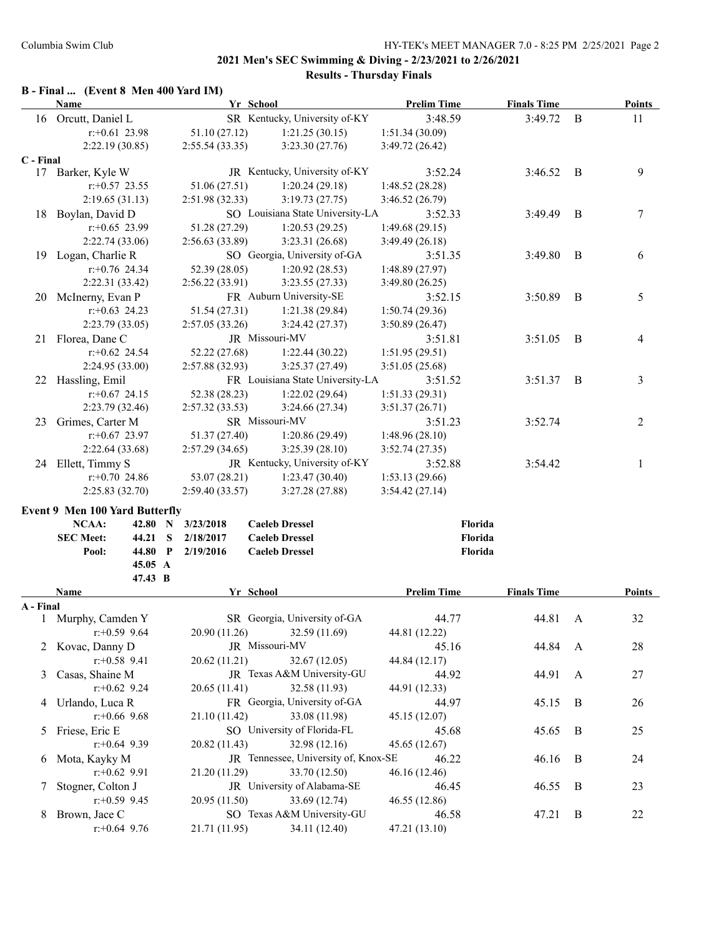## **B - Final ... (Event 8 Men 400 Yard IM)**

|           | Name                                  |            |                 | Yr School                            | <b>Prelim Time</b>        | <b>Finals Time</b> |                | <b>Points</b>  |
|-----------|---------------------------------------|------------|-----------------|--------------------------------------|---------------------------|--------------------|----------------|----------------|
|           | 16 Orcutt, Daniel L                   |            |                 | SR Kentucky, University of-KY        | 3:48.59                   | 3:49.72            | B              | 11             |
|           | $r$ :+0.61 23.98                      |            | 51.10 (27.12)   | 1:21.25(30.15)                       | 1:51.34(30.09)            |                    |                |                |
|           | 2:22.19(30.85)                        |            | 2:55.54(33.35)  | 3:23.30(27.76)                       | 3:49.72 (26.42)           |                    |                |                |
| C - Final |                                       |            |                 |                                      |                           |                    |                |                |
|           | 17 Barker, Kyle W                     |            |                 | JR Kentucky, University of-KY        | 3:52.24                   | 3:46.52            | $\overline{B}$ | 9              |
|           | $r$ : +0.57 23.55                     |            | 51.06 (27.51)   | 1:20.24(29.18)                       | 1:48.52(28.28)            |                    |                |                |
|           | 2:19.65(31.13)                        |            | 2:51.98(32.33)  | 3:19.73(27.75)                       | 3:46.52 (26.79)           |                    |                |                |
|           | 18 Boylan, David D                    |            |                 | SO Louisiana State University-LA     | 3:52.33                   | 3:49.49            | B              | 7              |
|           | $r: +0.65$ 23.99                      |            | 51.28 (27.29)   | 1:20.53(29.25)                       | 1:49.68(29.15)            |                    |                |                |
|           | 2:22.74(33.06)                        |            | 2:56.63 (33.89) | 3:23.31 (26.68)                      | 3:49.49(26.18)            |                    |                |                |
|           | 19 Logan, Charlie R                   |            |                 | SO Georgia, University of-GA         | 3:51.35                   | 3:49.80            | B              | 6              |
|           | $r$ : +0.76 24.34                     |            | 52.39 (28.05)   | 1:20.92(28.53)                       | 1:48.89(27.97)            |                    |                |                |
|           | 2:22.31 (33.42)                       |            | 2:56.22(33.91)  | 3:23.55(27.33)                       | 3:49.80 (26.25)           |                    |                |                |
|           | 20 McInerny, Evan P                   |            |                 | FR Auburn University-SE              | 3:52.15                   | 3:50.89            | B              | 5              |
|           | $r+0.63$ 24.23                        |            | 51.54 (27.31)   | 1:21.38(29.84)                       | 1:50.74(29.36)            |                    |                |                |
|           | 2:23.79(33.05)                        |            | 2:57.05(33.26)  | 3:24.42(27.37)                       | 3:50.89(26.47)            |                    |                |                |
|           | 21 Florea, Dane C                     |            |                 | JR Missouri-MV                       | 3:51.81                   | 3:51.05            | - B            | 4              |
|           | $r+0.62$ 24.54                        |            | 52.22 (27.68)   | 1:22.44(30.22)                       | 1:51.95(29.51)            |                    |                |                |
|           | 2:24.95 (33.00)                       |            | 2:57.88(32.93)  | 3:25.37(27.49)                       | 3:51.05(25.68)            |                    |                |                |
|           | 22 Hassling, Emil                     |            |                 | FR Louisiana State University-LA     | 3:51.52                   | 3:51.37            | B              | 3              |
|           | $r$ :+0.67 24.15                      |            | 52.38 (28.23)   | 1:22.02(29.64)                       | 1:51.33(29.31)            |                    |                |                |
|           | 2:23.79 (32.46)                       |            | 2:57.32(33.53)  | 3:24.66 (27.34)                      | 3:51.37(26.71)            |                    |                |                |
| 23        | Grimes, Carter M                      |            |                 | SR Missouri-MV                       | 3:51.23                   | 3:52.74            |                | $\overline{c}$ |
|           | $r: +0.67$ 23.97                      |            | 51.37 (27.40)   | 1:20.86(29.49)                       | 1:48.96 (28.10)           |                    |                |                |
|           | 2:22.64 (33.68)                       |            | 2:57.29(34.65)  | 3:25.39 (28.10)                      |                           |                    |                |                |
|           | 24 Ellett, Timmy S                    |            |                 | JR Kentucky, University of-KY        | 3:52.74(27.35)<br>3:52.88 | 3:54.42            |                | 1              |
|           | $r: +0.70$ 24.86                      |            | 53.07 (28.21)   | 1:23.47(30.40)                       | 1:53.13(29.66)            |                    |                |                |
|           | 2:25.83(32.70)                        |            | 2:59.40(33.57)  | 3:27.28(27.88)                       |                           |                    |                |                |
|           |                                       |            |                 |                                      | 3:54.42(27.14)            |                    |                |                |
|           | <b>Event 9 Men 100 Yard Butterfly</b> |            |                 |                                      |                           |                    |                |                |
|           | NCAA:                                 | 42.80 N    | 3/23/2018       | <b>Caeleb Dressel</b>                |                           | Florida            |                |                |
|           | <b>SEC Meet:</b>                      | 44.21<br>S | 2/18/2017       | <b>Caeleb Dressel</b>                |                           | Florida            |                |                |
|           | Pool:                                 | 44.80 P    | 2/19/2016       | <b>Caeleb Dressel</b>                |                           | Florida            |                |                |
|           |                                       | 45.05 A    |                 |                                      |                           |                    |                |                |
|           |                                       | 47.43 B    |                 |                                      |                           |                    |                |                |
|           | Name                                  |            |                 | Yr School                            | <b>Prelim Time</b>        | <b>Finals Time</b> |                | Points         |
| A - Final |                                       |            |                 |                                      |                           |                    |                |                |
|           | 1 Murphy, Camden Y                    |            |                 | SR Georgia, University of-GA         | 44.77                     | 44.81              | A              | 32             |
|           | $r$ :+0.59 9.64                       |            |                 | 20.90 (11.26) 32.59 (11.69)          | 44.81 (12.22)             |                    |                |                |
|           | 2 Kovac, Danny D                      |            |                 | JR Missouri-MV                       | 45.16                     | 44.84              | A              | 28             |
|           | $r: +0.58$ 9.41                       |            | 20.62 (11.21)   | 32.67 (12.05)                        | 44.84 (12.17)             |                    |                |                |
| 3         | Casas, Shaine M                       |            |                 | JR Texas A&M University-GU           | 44.92                     | 44.91              | A              | 27             |
|           | $r+0.62$ 9.24                         |            | 20.65 (11.41)   | 32.58 (11.93)                        | 44.91 (12.33)             |                    |                |                |
|           | 4 Urlando, Luca R                     |            |                 | FR Georgia, University of-GA         | 44.97                     | 45.15              | B              | 26             |
|           | $r$ :+0.66 9.68                       |            | 21.10 (11.42)   | 33.08 (11.98)                        | 45.15 (12.07)             |                    |                |                |
|           | 5 Friese, Eric E                      |            |                 | SO University of Florida-FL          | 45.68                     | 45.65              | B              | 25             |
|           | $r: +0.64$ 9.39                       |            | 20.82 (11.43)   | 32.98 (12.16)                        | 45.65 (12.67)             |                    |                |                |
| 6         | Mota, Kayky M                         |            |                 | JR Tennessee, University of, Knox-SE | 46.22                     | 46.16              | B              | 24             |
|           | $r.+0.62$ 9.91                        |            | 21.20 (11.29)   | 33.70 (12.50)                        | 46.16 (12.46)             |                    |                |                |
| 7.        | Stogner, Colton J                     |            |                 | JR University of Alabama-SE          | 46.45                     | 46.55              | B              | 23             |
|           | $r.+0.59$ 9.45                        |            | 20.95 (11.50)   | 33.69 (12.74)                        | 46.55 (12.86)             |                    |                |                |
| 8.        | Brown, Jace C                         |            |                 | SO Texas A&M University-GU           | 46.58                     | 47.21              | $\bf{B}$       | 22             |
|           | $r+0.64$ 9.76                         |            | 21.71 (11.95)   | 34.11 (12.40)                        | 47.21 (13.10)             |                    |                |                |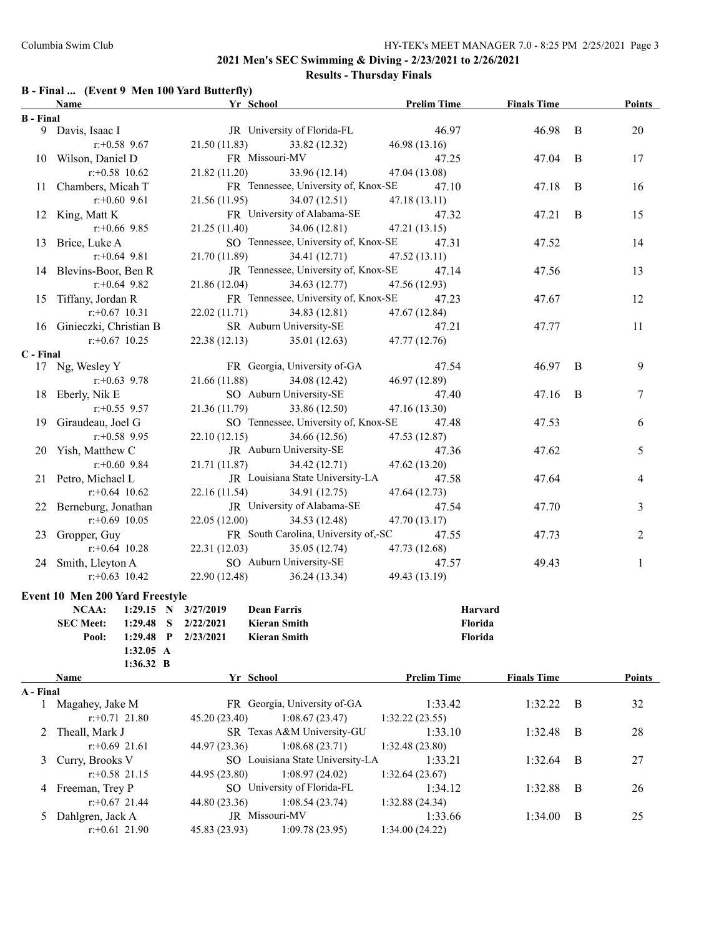### **2021 Men's SEC Swimming & Diving - 2/23/2021 to 2/26/2021**

# **Results - Thursday Finals**

## **B - Final ... (Event 9 Men 100 Yard Butterfly)**

|                  | Name                                        | Yr School                                    | <b>Prelim Time</b> | <b>Finals Time</b> |              | Points        |
|------------------|---------------------------------------------|----------------------------------------------|--------------------|--------------------|--------------|---------------|
| <b>B</b> - Final |                                             |                                              |                    |                    |              |               |
|                  | 9 Davis, Isaac I                            | JR University of Florida-FL                  | 46.97              | 46.98 B            |              | 20            |
|                  | $r + 0.58$ 9.67                             | 21.50 (11.83) 33.82 (12.32)                  | 46.98 (13.16)      |                    |              |               |
|                  | 10 Wilson, Daniel D                         | FR Missouri-MV                               | 47.25              | 47.04              | B            | 17            |
|                  | $r: +0.58$ 10.62                            | 21.82(11.20)<br>33.96 (12.14)                | 47.04 (13.08)      |                    |              |               |
|                  | 11 Chambers, Micah T                        | FR Tennessee, University of, Knox-SE         | 47.10              | 47.18              | B            | 16            |
|                  | $r+0.60$ 9.61                               | 21.56(11.95)<br>34.07 (12.51)                | 47.18 (13.11)      |                    |              |               |
|                  | 12 King, Matt K                             | FR University of Alabama-SE                  | 47.32              | 47.21              | $\mathbf{B}$ | 15            |
|                  | $r$ :+0.66 9.85                             | 21.25(11.40)<br>34.06(12.81)                 | 47.21(13.15)       |                    |              |               |
|                  | 13 Brice, Luke A                            | SO Tennessee, University of, Knox-SE         | 47.31              | 47.52              |              | 14            |
|                  | $r$ :+0.64 9.81                             | 21.70 (11.89)<br>34.41(12.71)                | 47.52(13.11)       |                    |              |               |
|                  | 14 Blevins-Boor, Ben R                      | JR Tennessee, University of, Knox-SE         | 47.14              | 47.56              |              | 13            |
|                  | $r+0.64$ 9.82                               | 21.86(12.04)<br>34.63 (12.77)                | 47.56 (12.93)      |                    |              |               |
|                  |                                             |                                              |                    |                    |              |               |
|                  | 15 Tiffany, Jordan R                        | FR Tennessee, University of, Knox-SE         | 47.23              | 47.67              |              | 12            |
|                  | $r$ : +0.67 10.31                           | 22.02(11.71)<br>34.83 (12.81)                | 47.67 (12.84)      |                    |              |               |
|                  | 16 Ginieczki, Christian B                   | SR Auburn University-SE                      | 47.21              | 47.77              |              | 11            |
|                  | $r$ : +0.67 10.25                           | 22.38 (12.13) 35.01 (12.63)                  | 47.77 (12.76)      |                    |              |               |
| C - Final        |                                             |                                              |                    |                    |              |               |
|                  | 17 Ng, Wesley Y                             | FR Georgia, University of-GA                 | 47.54              | 46.97              | B            | 9             |
|                  | $r: +0.63$ 9.78                             | 21.66 (11.88)<br>34.08 (12.42)               | 46.97 (12.89)      |                    |              |               |
|                  | 18 Eberly, Nik E                            | SO Auburn University-SE                      | 47.40              | 47.16              | B            | 7             |
|                  | $r: +0.55$ 9.57                             | 33.86 (12.50)<br>21.36 (11.79)               | 47.16 (13.30)      |                    |              |               |
|                  | 19 Giraudeau, Joel G                        | SO Tennessee, University of, Knox-SE         | 47.48              | 47.53              |              | 6             |
|                  | $r+0.58$ 9.95                               | 22.10(12.15)<br>34.66 (12.56)                | 47.53 (12.87)      |                    |              |               |
|                  | 20 Yish, Matthew C                          | JR Auburn University-SE                      | 47.36              | 47.62              |              | 5             |
|                  | $r + 0.60$ 9.84                             | 21.71 (11.87)<br>34.42 (12.71)               | 47.62 (13.20)      |                    |              |               |
|                  | 21 Petro, Michael L                         | JR Louisiana State University-LA             | 47.58              | 47.64              |              | 4             |
|                  | $r$ : +0.64 10.62                           | 22.16 (11.54)<br>34.91 (12.75)               | 47.64 (12.73)      |                    |              |               |
|                  | 22 Berneburg, Jonathan                      | JR University of Alabama-SE                  | 47.54              | 47.70              |              | 3             |
|                  | $r$ : +0.69 10.05                           | 22.05(12.00)<br>34.53 (12.48)                | 47.70 (13.17)      |                    |              |               |
|                  | 23 Gropper, Guy                             | FR South Carolina, University of,-SC         | 47.55              | 47.73              |              | 2             |
|                  | $r: +0.64$ 10.28                            | 22.31(12.03)<br>35.05 (12.74)                | 47.73 (12.68)      |                    |              |               |
|                  | 24 Smith, Lleyton A                         | SO Auburn University-SE                      | 47.57              | 49.43              |              | $\mathbf{1}$  |
|                  | $r: +0.63$ 10.42                            | 22.90 (12.48)<br>36.24 (13.34) 49.43 (13.19) |                    |                    |              |               |
|                  |                                             |                                              |                    |                    |              |               |
|                  | Event 10 Men 200 Yard Freestyle             |                                              |                    |                    |              |               |
|                  | NCAA:<br>1:29.15 N $3/27/2019$              | <b>Dean Farris</b>                           | Harvard            |                    |              |               |
|                  | <b>SEC Meet:</b><br>$1:29.48$ S $2/22/2021$ | <b>Kieran Smith</b>                          | Florida            |                    |              |               |
|                  | Pool:<br>$1:29.48$ P                        | <b>Kieran Smith</b><br>2/23/2021             | Florida            |                    |              |               |
|                  | 1:32.05 A                                   |                                              |                    |                    |              |               |
|                  | 1:36.32 B                                   |                                              |                    |                    |              |               |
|                  | Name                                        | Yr School                                    | <b>Prelim Time</b> | <b>Finals Time</b> |              | <b>Points</b> |
| A - Final        |                                             |                                              |                    |                    |              |               |
| $\mathbf{1}$     | Magahey, Jake M                             | FR Georgia, University of-GA                 | 1:33.42            | 1:32.22            | B            | 32            |
|                  | $r$ : +0.71 21.80                           | 45.20 (23.40)<br>1:08.67(23.47)              | 1:32.22(23.55)     |                    |              |               |
| 2                | Theall, Mark J                              | SR Texas A&M University-GU                   | 1:33.10            | 1:32.48            | B            | 28            |
|                  | $r+0.69$ 21.61                              | 44.97 (23.36)<br>1:08.68(23.71)              | 1:32.48 (23.80)    |                    |              |               |
| 3                | Curry, Brooks V                             | SO Louisiana State University-LA             | 1:33.21            | 1:32.64            | B            | 27            |
|                  | $r+0.58$ 21.15                              | 44.95 (23.80)<br>1:08.97(24.02)              | 1:32.64(23.67)     |                    |              |               |
|                  | 4 Freeman, Trey P                           | SO University of Florida-FL                  | 1:34.12            | 1:32.88            | B            | 26            |
|                  | $r+0.67$ 21.44                              | 44.80 (23.36)<br>1:08.54(23.74)              | 1:32.88(24.34)     |                    |              |               |
| 5                | Dahlgren, Jack A                            | JR Missouri-MV                               | 1:33.66            | 1:34.00            | B            | 25            |
|                  | $r$ :+0.61 21.90                            | 45.83 (23.93)<br>1:09.78(23.95)              | 1:34.00(24.22)     |                    |              |               |
|                  |                                             |                                              |                    |                    |              |               |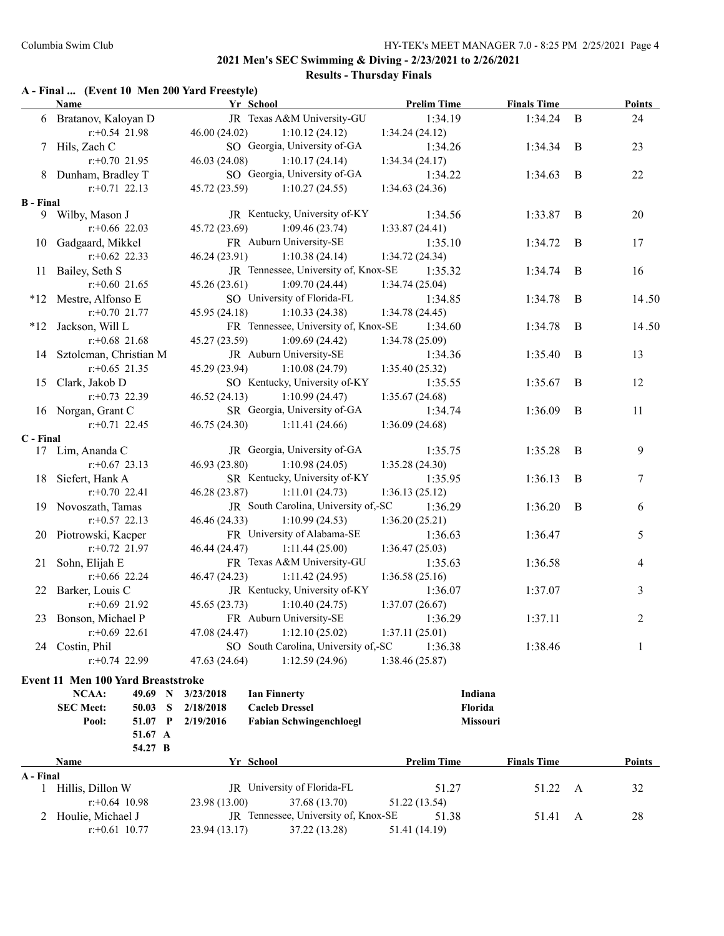## **A - Final ... (Event 10 Men 200 Yard Freestyle)**

|                  | <b>Name</b>            | Yr School     |                                      | <b>Prelim Time</b> | <b>Finals Time</b> |             | <b>Points</b> |
|------------------|------------------------|---------------|--------------------------------------|--------------------|--------------------|-------------|---------------|
|                  | 6 Bratanov, Kaloyan D  |               | JR Texas A&M University-GU           | 1:34.19            | 1:34.24            | $\mathbf B$ | 24            |
|                  | $r: +0.54$ 21.98       | 46.00 (24.02) | 1:10.12(24.12)                       | 1:34.24(24.12)     |                    |             |               |
|                  | 7 Hils, Zach C         |               | SO Georgia, University of-GA         | 1:34.26            | 1:34.34            | B           | 23            |
|                  | $r+0.70$ 21.95         | 46.03 (24.08) | 1:10.17(24.14)                       | 1:34.34(24.17)     |                    |             |               |
|                  | 8 Dunham, Bradley T    |               | SO Georgia, University of-GA         | 1:34.22            | 1:34.63            | B           | 22            |
|                  | $r: +0.71$ 22.13       | 45.72 (23.59) | 1:10.27(24.55)                       | 1:34.63(24.36)     |                    |             |               |
| <b>B</b> - Final |                        |               |                                      |                    |                    |             |               |
|                  | 9 Wilby, Mason J       |               | JR Kentucky, University of-KY        | 1:34.56            | 1:33.87            | B           | 20            |
|                  | $r$ :+0.66 22.03       | 45.72 (23.69) | 1:09.46(23.74)                       | 1:33.87(24.41)     |                    |             |               |
| 10               | Gadgaard, Mikkel       |               | FR Auburn University-SE              | 1:35.10            | 1:34.72            | B           | 17            |
|                  | $r$ : +0.62 22.33      | 46.24 (23.91) | 1:10.38(24.14)                       | 1:34.72(24.34)     |                    |             |               |
| 11               | Bailey, Seth S         |               | JR Tennessee, University of, Knox-SE | 1:35.32            | 1:34.74            | $\bf{B}$    | 16            |
|                  | $r + 0.60$ 21.65       | 45.26(23.61)  | 1:09.70(24.44)                       | 1:34.74(25.04)     |                    |             |               |
|                  | *12 Mestre, Alfonso E  |               | SO University of Florida-FL          | 1:34.85            | 1:34.78            | B           | 14.50         |
|                  | $r: +0.70$ 21.77       | 45.95 (24.18) | 1:10.33(24.38)                       | 1:34.78 (24.45)    |                    |             |               |
|                  | *12 Jackson, Will L    |               | FR Tennessee, University of, Knox-SE | 1:34.60            | 1:34.78            | B           | 14.50         |
|                  | $r$ : +0.68 21.68      | 45.27 (23.59) | 1:09.69(24.42)                       | 1:34.78 (25.09)    |                    |             |               |
| 14               | Sztolcman, Christian M |               | JR Auburn University-SE              | 1:34.36            | 1:35.40            | B           | 13            |
|                  | $r + 0.65$ 21.35       | 45.29 (23.94) | 1:10.08(24.79)                       | 1:35.40(25.32)     |                    |             |               |
| 15               | Clark, Jakob D         |               | SO Kentucky, University of-KY        | 1:35.55            | 1:35.67            | B           | 12            |
|                  | $r: +0.73$ 22.39       | 46.52 (24.13) | 1:10.99(24.47)                       | 1:35.67 (24.68)    |                    |             |               |
|                  | 16 Norgan, Grant C     |               | SR Georgia, University of-GA         | 1:34.74            | 1:36.09            | B           | 11            |
|                  | $r: +0.71$ 22.45       | 46.75 (24.30) | 1:11.41(24.66)                       | 1:36.09 (24.68)    |                    |             |               |
| C - Final        |                        |               |                                      |                    |                    |             |               |
| 17               | Lim, Ananda C          |               | JR Georgia, University of-GA         | 1:35.75            | 1:35.28            | B           | 9             |
|                  | $r$ : +0.67 23.13      | 46.93 (23.80) | 1:10.98(24.05)                       | 1:35.28(24.30)     |                    |             |               |
| 18               | Siefert, Hank A        |               | SR Kentucky, University of-KY        | 1:35.95            | 1:36.13            | B           | $\tau$        |
|                  | $r + 0.70$ 22.41       | 46.28 (23.87) | 1:11.01(24.73)                       | 1:36.13(25.12)     |                    |             |               |
|                  | 19 Novoszath, Tamas    |               | JR South Carolina, University of,-SC | 1:36.29            | 1:36.20            | B           | 6             |
|                  | $r: +0.57$ 22.13       | 46.46 (24.33) | 1:10.99(24.53)                       | 1:36.20(25.21)     |                    |             |               |
|                  | 20 Piotrowski, Kacper  |               | FR University of Alabama-SE          | 1:36.63            | 1:36.47            |             | 5             |
|                  | $r: +0.72$ 21.97       | 46.44 (24.47) | 1:11.44(25.00)                       | 1:36.47(25.03)     |                    |             |               |
|                  | 21 Sohn, Elijah E      |               | FR Texas A&M University-GU           | 1:35.63            | 1:36.58            |             | 4             |
|                  | $r: +0.66$ 22.24       | 46.47 (24.23) | 1:11.42(24.95)                       | 1:36.58(25.16)     |                    |             |               |
|                  | 22 Barker, Louis C     |               | JR Kentucky, University of-KY        | 1:36.07            | 1:37.07            |             | 3             |
|                  | $r+0.69$ 21.92         | 45.65 (23.73) | 1:10.40(24.75)                       | 1:37.07(26.67)     |                    |             |               |
| 23               | Bonson, Michael P      |               | FR Auburn University-SE              | 1:36.29            | 1:37.11            |             | 2             |
|                  | $r: +0.69$ 22.61       | 47.08 (24.47) | 1:12.10(25.02)                       | 1:37.11(25.01)     |                    |             |               |
| 24               | Costin, Phil           |               | SO South Carolina, University of,-SC | 1:36.38            | 1:38.46            |             | $\mathbf{1}$  |
|                  | $r+0.74$ 22.99         | 47.63 (24.64) | 1:12.59(24.96)                       | 1:38.46 (25.87)    |                    |             |               |
|                  |                        |               |                                      |                    |                    |             |               |

#### **Event 11 Men 100 Yard Breaststroke**

|           | NCAA:               | 49.69   | $\mathbf N$ | 3/23/2018     | <b>Ian Finnerty</b>                         |                    | Indiana  |                    |     |        |
|-----------|---------------------|---------|-------------|---------------|---------------------------------------------|--------------------|----------|--------------------|-----|--------|
|           | <b>SEC Meet:</b>    | 50.03   | S           | 2/18/2018     | <b>Caeleb Dressel</b>                       |                    | Florida  |                    |     |        |
|           | Pool:               | 51.07   | -P          | 2/19/2016     | <b>Fabian Schwingenchloegl</b>              |                    | Missouri |                    |     |        |
|           |                     | 51.67 A |             |               |                                             |                    |          |                    |     |        |
|           |                     | 54.27 B |             |               |                                             |                    |          |                    |     |        |
|           | <b>Name</b>         |         |             |               | Yr School                                   | <b>Prelim Time</b> |          | <b>Finals Time</b> |     | Points |
| A - Final |                     |         |             |               |                                             |                    |          |                    |     |        |
|           | Hillis, Dillon W    |         |             |               | JR University of Florida-FL                 |                    | 51.27    | 51.22              | - A | 32     |
|           | $r + 0.64$ 10.98    |         |             | 23.98 (13.00) | 37.68 (13.70)                               | 51.22 (13.54)      |          |                    |     |        |
|           | 2 Houlie, Michael J |         |             |               | <b>IR</b> Tennessee, University of, Knox-SE |                    | 51.38    | 51.41              | A   | 28     |
|           | $r + 0.61$ 10.77    |         |             | 23.94 (13.17) | 37.22 (13.28)                               | 51.41 (14.19)      |          |                    |     |        |
|           |                     |         |             |               |                                             |                    |          |                    |     |        |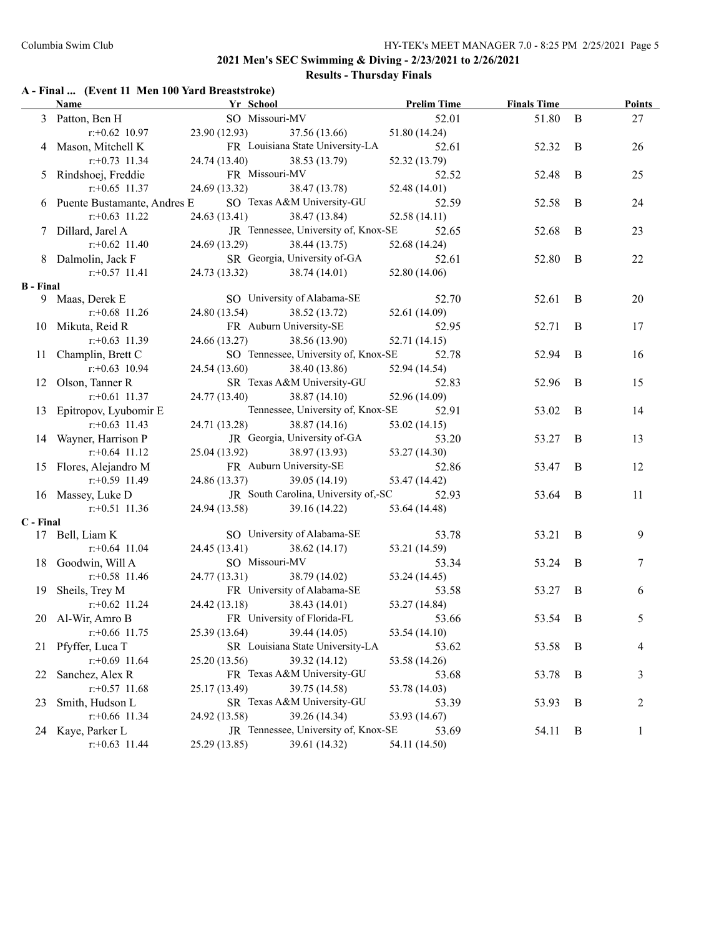### **2021 Men's SEC Swimming & Diving - 2/23/2021 to 2/26/2021**

## **Results - Thursday Finals**

|                  |                               | A - Final  (Event 11 Men 100 Yard Breaststroke) |                                      |                               |                    |                |               |
|------------------|-------------------------------|-------------------------------------------------|--------------------------------------|-------------------------------|--------------------|----------------|---------------|
|                  | <b>Name</b>                   | Yr School                                       |                                      | <b>Example 12 Prelim Time</b> | <b>Finals Time</b> |                | <b>Points</b> |
|                  | 3 Patton, Ben H               | SO Missouri-MV                                  |                                      | 52.01                         | 51.80              | B              | 27            |
|                  | $r + 0.62$ 10.97              | 23.90 (12.93)                                   | 37.56 (13.66)                        | 51.80 (14.24)                 |                    |                |               |
|                  | 4 Mason, Mitchell K           |                                                 | FR Louisiana State University-LA     | 52.61                         | 52.32              | B              | 26            |
|                  | $r: +0.73$ 11.34              | 24.74 (13.40)                                   | 38.53 (13.79)                        | 52.32 (13.79)                 |                    |                |               |
|                  | 5 Rindshoej, Freddie          | FR Missouri-MV                                  |                                      | 52.52                         | 52.48              | B              | 25            |
|                  | $r: +0.65$ 11.37              | 24.69 (13.32)                                   | 38.47 (13.78)                        | 52.48 (14.01)                 |                    |                |               |
|                  | 6 Puente Bustamante, Andres E |                                                 | SO Texas A&M University-GU           | 52.59                         | 52.58              | B              | 24            |
|                  | $r: +0.63$ 11.22              | 24.63 (13.41)                                   | 38.47 (13.84)                        | 52.58 (14.11)                 |                    |                |               |
|                  | 7 Dillard, Jarel A            |                                                 | JR Tennessee, University of, Knox-SE | 52.65                         | 52.68              | B              | 23            |
|                  | $r.+0.62$ 11.40               | 24.69 (13.29)                                   | 38.44 (13.75)                        | 52.68 (14.24)                 |                    |                |               |
|                  | 8 Dalmolin, Jack F            |                                                 | SR Georgia, University of-GA         | 52.61                         | 52.80              | B              | 22            |
|                  | $r$ : +0.57 11.41             | 24.73 (13.32)                                   | 38.74 (14.01)                        | 52.80 (14.06)                 |                    |                |               |
| <b>B</b> - Final |                               |                                                 |                                      |                               |                    |                |               |
|                  | 9 Maas, Derek E               |                                                 | SO University of Alabama-SE          | 52.70                         | 52.61              | B              | 20            |
|                  | $r: +0.68$ 11.26              | 24.80 (13.54)                                   | 38.52 (13.72)                        | 52.61 (14.09)                 |                    |                |               |
|                  | 10 Mikuta, Reid R             |                                                 | FR Auburn University-SE              | 52.95                         | 52.71              | B              | 17            |
|                  | $r: +0.63$ 11.39              | 24.66 (13.27)                                   | 38.56 (13.90)                        | 52.71 (14.15)                 |                    |                |               |
|                  | 11 Champlin, Brett C          |                                                 | SO Tennessee, University of, Knox-SE | 52.78                         | 52.94              | B              | 16            |
|                  | $r: +0.63$ 10.94              | 24.54 (13.60)                                   | 38.40 (13.86)                        | 52.94 (14.54)                 |                    |                |               |
|                  | 12 Olson, Tanner R            |                                                 | SR Texas A&M University-GU           | 52.83                         | 52.96              | B              | 15            |
|                  | $r$ : +0.61 11.37             | 24.77 (13.40)                                   | 38.87 (14.10)                        | 52.96 (14.09)                 |                    |                |               |
|                  | 13 Epitropov, Lyubomir E      |                                                 | Tennessee, University of, Knox-SE    | 52.91                         | 53.02              | B              | 14            |
|                  | $r$ : +0.63 11.43             | 24.71 (13.28)                                   | 38.87(14.16)                         | 53.02 (14.15)                 |                    |                |               |
|                  | 14 Wayner, Harrison P         |                                                 | JR Georgia, University of-GA         | 53.20                         | 53.27              | B              | 13            |
|                  | $r$ : +0.64 11.12             | 25.04 (13.92)                                   | 38.97 (13.93)                        | 53.27 (14.30)                 |                    |                |               |
|                  | 15 Flores, Alejandro M        |                                                 | FR Auburn University-SE              | 52.86                         | 53.47              | B              | 12            |
|                  | $r: +0.59$ 11.49              | 24.86 (13.37)                                   | 39.05 (14.19)                        | 53.47 (14.42)                 |                    |                |               |
|                  | 16 Massey, Luke D             |                                                 | JR South Carolina, University of,-SC | 52.93                         | 53.64              | B              | 11            |
|                  | $r: +0.51$ 11.36              | 24.94 (13.58)                                   | 39.16 (14.22)                        | 53.64 (14.48)                 |                    |                |               |
| C - Final        |                               |                                                 |                                      |                               |                    |                |               |
|                  | 17 Bell, Liam K               |                                                 | SO University of Alabama-SE          | 53.78                         | 53.21              | B              | 9             |
|                  | $r$ : +0.64 11.04             | 24.45 (13.41)                                   | 38.62(14.17)                         | 53.21 (14.59)                 |                    |                |               |
|                  | 18 Goodwin, Will A            | SO Missouri-MV                                  |                                      | 53.34                         | 53.24              | B              | 7             |
|                  | $r$ : +0.58 11.46             | 24.77 (13.31)                                   | 38.79 (14.02)                        | 53.24 (14.45)                 |                    |                |               |
|                  | 19 Sheils, Trey M             |                                                 | FR University of Alabama-SE          | 53.58                         | 53.27              | B              | 6             |
|                  | $r + 0.62$ 11.24              | 24.42 (13.18)                                   | 38.43 (14.01)                        | 53.27 (14.84)                 |                    |                |               |
|                  | 20 Al-Wir, Amro B             |                                                 | FR University of Florida-FL          | 53.66                         | 53.54              | $\overline{B}$ | 5             |
|                  | $r$ : +0.66 11.75             | 25.39 (13.64)                                   | 39.44 (14.05)                        | 53.54 (14.10)                 |                    |                |               |
| 21               | Pfyffer, Luca T               |                                                 | SR Louisiana State University-LA     | 53.62                         | 53.58              | B              | 4             |
|                  | $r$ : +0.69 11.64             | 25.20 (13.56)                                   | 39.32 (14.12)                        | 53.58 (14.26)                 |                    |                |               |
| 22               | Sanchez, Alex R               |                                                 | FR Texas A&M University-GU           | 53.68                         | 53.78              | B              | 3             |
|                  | $r$ : +0.57 11.68             | 25.17 (13.49)                                   | 39.75 (14.58)                        | 53.78 (14.03)                 |                    |                |               |
| 23               | Smith, Hudson L               |                                                 | SR Texas A&M University-GU           | 53.39                         | 53.93              | B              | 2             |
|                  | $r$ :+0.66 11.34              | 24.92 (13.58)                                   | 39.26 (14.34)                        | 53.93 (14.67)                 |                    |                |               |
|                  | 24 Kaye, Parker L             |                                                 | JR Tennessee, University of, Knox-SE | 53.69                         | 54.11              | B              | 1             |
|                  | $r.+0.63$ 11.44               | 25.29 (13.85)                                   | 39.61 (14.32)                        | 54.11 (14.50)                 |                    |                |               |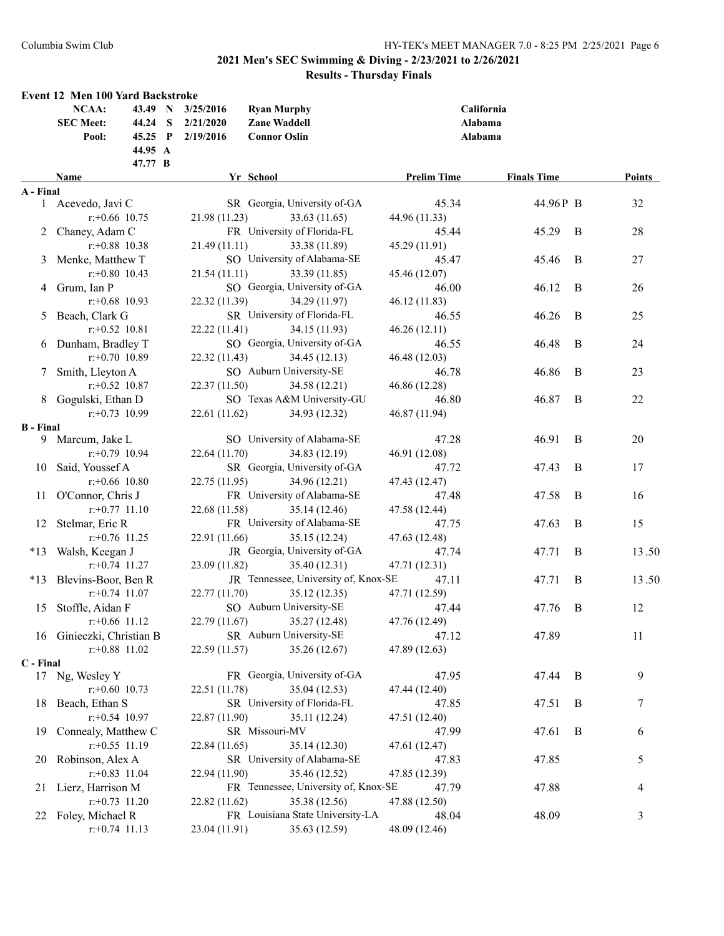|                  | Event 12 Men 100 Yard Backstroke            |                        |                                            |                    |                    |   |               |
|------------------|---------------------------------------------|------------------------|--------------------------------------------|--------------------|--------------------|---|---------------|
|                  | <b>NCAA:</b><br>43.49 N<br><b>SEC Meet:</b> | 3/25/2016              | <b>Ryan Murphy</b>                         |                    | California         |   |               |
|                  | 44.24 S<br>45.25 $P$<br>Pool:               | 2/21/2020<br>2/19/2016 | <b>Zane Waddell</b><br><b>Connor Oslin</b> | Alabama<br>Alabama |                    |   |               |
|                  | 44.95 A                                     |                        |                                            |                    |                    |   |               |
|                  | 47.77 B                                     |                        |                                            |                    |                    |   |               |
|                  | <b>Name</b>                                 |                        | Yr School                                  | <b>Prelim Time</b> | <b>Finals Time</b> |   | <b>Points</b> |
| A - Final        |                                             |                        |                                            |                    |                    |   |               |
|                  | 1 Acevedo, Javi C                           |                        | SR Georgia, University of-GA               | 45.34              | 44.96P B           |   | 32            |
|                  | $r$ :+0.66 10.75                            | 21.98 (11.23)          | 33.63 (11.65)                              | 44.96 (11.33)      |                    |   |               |
|                  | 2 Chaney, Adam C                            |                        | FR University of Florida-FL                | 45.44              | 45.29              | B | 28            |
|                  | $r$ : +0.88 10.38                           | 21.49(11.11)           | 33.38 (11.89)                              | 45.29 (11.91)      |                    |   |               |
|                  | 3 Menke, Matthew T                          |                        | SO University of Alabama-SE                | 45.47              | 45.46              | B | $27\,$        |
|                  | $r$ : +0.80 10.43                           | 21.54(11.11)           | 33.39 (11.85)                              | 45.46 (12.07)      |                    |   |               |
|                  | 4 Grum, Ian P                               |                        | SO Georgia, University of-GA               | 46.00              | 46.12              | B | 26            |
|                  | $r$ : +0.68 10.93                           | 22.32 (11.39)          | 34.29 (11.97)                              | 46.12 (11.83)      |                    |   |               |
|                  | 5 Beach, Clark G                            |                        | SR University of Florida-FL                | 46.55              | 46.26              | B | 25            |
|                  | $r: +0.52$ 10.81                            | 22.22 (11.41)          | 34.15 (11.93)                              | 46.26(12.11)       |                    |   |               |
| 6                | Dunham, Bradley T                           |                        | SO Georgia, University of-GA               | 46.55              | 46.48              | B | 24            |
|                  | $r: +0.70$ 10.89                            | 22.32 (11.43)          | 34.45 (12.13)                              | 46.48 (12.03)      |                    |   |               |
|                  | Smith, Lleyton A                            |                        | SO Auburn University-SE                    | 46.78              | 46.86              | B | 23            |
|                  | $r: +0.52$ 10.87                            | 22.37 (11.50)          | 34.58 (12.21)                              | 46.86 (12.28)      |                    |   |               |
|                  | 8 Gogulski, Ethan D                         |                        | SO Texas A&M University-GU                 | 46.80              | 46.87              | B | 22            |
|                  | $r: +0.73$ 10.99                            | 22.61 (11.62)          | 34.93 (12.32)                              | 46.87 (11.94)      |                    |   |               |
| <b>B</b> - Final |                                             |                        |                                            |                    |                    |   |               |
|                  | 9 Marcum, Jake L                            |                        | SO University of Alabama-SE                | 47.28              | 46.91              | B | 20            |
|                  | $r: +0.79$ 10.94                            | 22.64 (11.70)          | 34.83 (12.19)                              | 46.91 (12.08)      |                    |   |               |
| 10               | Said, Youssef A                             |                        | SR Georgia, University of-GA               | 47.72              | 47.43              | B | 17            |
|                  | $r$ :+0.66 10.80                            | 22.75 (11.95)          | 34.96 (12.21)                              | 47.43 (12.47)      |                    |   |               |
|                  | 11 O'Connor, Chris J                        |                        | FR University of Alabama-SE                | 47.48              | 47.58              | B | 16            |
|                  | $r: +0.77$ 11.10                            | 22.68 (11.58)          | 35.14 (12.46)                              | 47.58 (12.44)      |                    |   |               |
| 12               | Stelmar, Eric R                             |                        | FR University of Alabama-SE                | 47.75              | 47.63              | B | 15            |
|                  | $r: +0.76$ 11.25                            | 22.91 (11.66)          | 35.15 (12.24)                              | 47.63 (12.48)      |                    |   |               |
| $*13$            | Walsh, Keegan J                             |                        | JR Georgia, University of-GA               | 47.74              | 47.71              | B | 13.50         |
|                  | $r: +0.74$ 11.27                            | 23.09 (11.82)          | 35.40 (12.31)                              | 47.71 (12.31)      |                    |   |               |
|                  | *13 Blevins-Boor, Ben R                     |                        | JR Tennessee, University of, Knox-SE       | 47.11              | 47.71              | B | 13.50         |
|                  | $r: +0.74$ 11.07                            | 22.77 (11.70)          | 35.12(12.35)                               | 47.71 (12.59)      |                    |   |               |
|                  | 15 Stoffle, Aidan F                         |                        | SO Auburn University-SE                    | 47.44              | 47.76              | B | 12            |
|                  | $r$ :+0.66 11.12                            | 22.79 (11.67)          | 35.27 (12.48)                              | 47.76 (12.49)      |                    |   |               |
|                  | 16 Ginieczki, Christian B                   |                        | SR Auburn University-SE                    | 47.12              | 47.89              |   | 11            |
|                  | $r$ : +0.88 11.02                           | 22.59 (11.57)          | 35.26 (12.67)                              | 47.89 (12.63)      |                    |   |               |
| C - Final        |                                             |                        |                                            |                    |                    |   |               |
|                  | 17 Ng, Wesley Y                             |                        | FR Georgia, University of-GA               | 47.95              | 47.44              | B | 9             |
|                  | $r$ : +0.60 10.73                           | 22.51 (11.78)          | 35.04 (12.53)                              | 47.44 (12.40)      |                    |   |               |
|                  | 18 Beach, Ethan S                           |                        | SR University of Florida-FL                | 47.85              | 47.51              | B | 7             |
|                  | $r: +0.54$ 10.97                            | 22.87 (11.90)          | 35.11 (12.24)                              | 47.51 (12.40)      |                    |   |               |
| 19               | Connealy, Matthew C                         |                        | SR Missouri-MV                             | 47.99              | 47.61              | B | 6             |
|                  | $r: +0.55$ 11.19                            | 22.84 (11.65)          | 35.14 (12.30)                              | 47.61 (12.47)      |                    |   |               |
| 20               | Robinson, Alex A                            |                        | SR University of Alabama-SE                | 47.83              | 47.85              |   | 5             |
|                  | $r.+0.83$ 11.04                             | 22.94 (11.90)          | 35.46 (12.52)                              | 47.85 (12.39)      |                    |   |               |
| 21               | Lierz, Harrison M                           |                        | FR Tennessee, University of, Knox-SE       | 47.79              | 47.88              |   | 4             |
|                  | $r.+0.73$ 11.20                             | 22.82 (11.62)          | 35.38 (12.56)                              | 47.88 (12.50)      |                    |   |               |
|                  | 22 Foley, Michael R                         |                        | FR Louisiana State University-LA           | 48.04              | 48.09              |   | 3             |
|                  | $r$ : +0.74 11.13                           | 23.04 (11.91)          | 35.63 (12.59)                              | 48.09 (12.46)      |                    |   |               |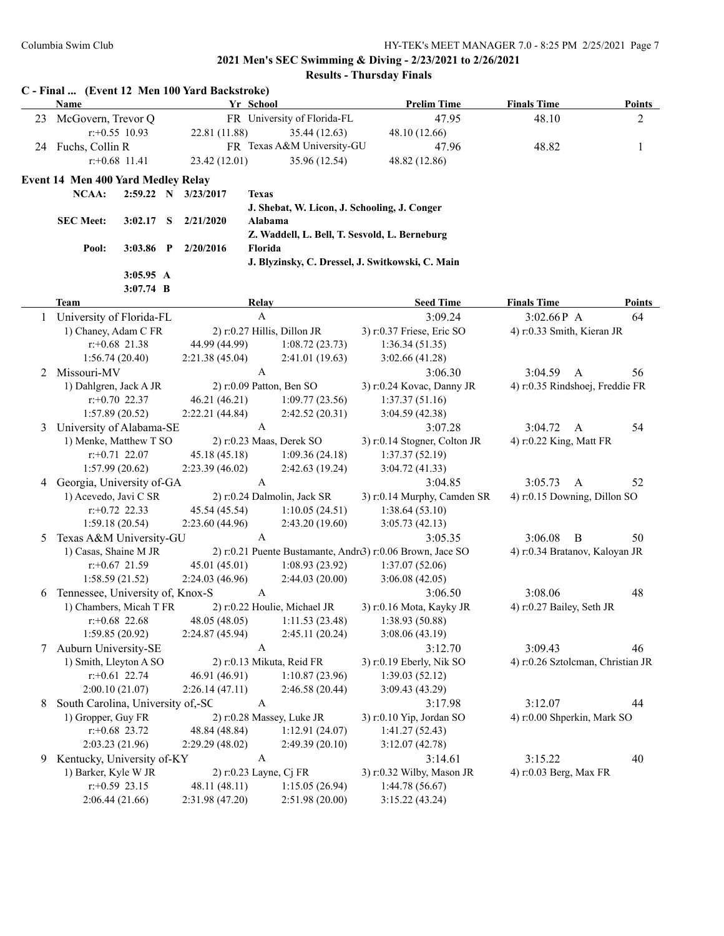|    | Name                               |                   |   |                                 | Yr School        |                                  | <b>Prelim Time</b>                                          | <b>Finals Time</b>                | <b>Points</b>  |
|----|------------------------------------|-------------------|---|---------------------------------|------------------|----------------------------------|-------------------------------------------------------------|-----------------------------------|----------------|
| 23 | McGovern, Trevor Q                 |                   |   |                                 |                  | FR University of Florida-FL      | 47.95                                                       | 48.10                             | $\overline{2}$ |
|    |                                    | $r$ : +0.55 10.93 |   | 22.81 (11.88)                   |                  | 35.44 (12.63)                    | 48.10 (12.66)                                               |                                   |                |
|    | 24 Fuchs, Collin R                 |                   |   |                                 |                  | FR Texas A&M University-GU       | 47.96                                                       | 48.82                             | 1              |
|    |                                    | $r$ : +0.68 11.41 |   | 23.42 (12.01)                   |                  | 35.96 (12.54)                    | 48.82 (12.86)                                               |                                   |                |
|    | Event 14 Men 400 Yard Medley Relay |                   |   |                                 |                  |                                  |                                                             |                                   |                |
|    | NCAA:                              |                   |   | 2:59.22 N 3/23/2017             | <b>Texas</b>     |                                  |                                                             |                                   |                |
|    |                                    |                   |   |                                 |                  |                                  | J. Shebat, W. Licon, J. Schooling, J. Conger                |                                   |                |
|    | <b>SEC Meet:</b>                   | 3:02.17           | S | 2/21/2020                       | Alabama          |                                  |                                                             |                                   |                |
|    |                                    |                   |   |                                 |                  |                                  | Z. Waddell, L. Bell, T. Sesvold, L. Berneburg               |                                   |                |
|    | Pool:                              | $3:03.86$ P       |   | 2/20/2016                       | Florida          |                                  |                                                             |                                   |                |
|    |                                    |                   |   |                                 |                  |                                  | J. Blyzinsky, C. Dressel, J. Switkowski, C. Main            |                                   |                |
|    |                                    | 3:05.95 A         |   |                                 |                  |                                  |                                                             |                                   |                |
|    |                                    | $3:07.74$ B       |   |                                 |                  |                                  |                                                             |                                   |                |
|    | <b>Team</b>                        |                   |   |                                 | <b>Relay</b>     |                                  | <b>Seed Time</b>                                            | <b>Finals Time</b>                | <b>Points</b>  |
| 1  | University of Florida-FL           |                   |   |                                 | $\mathbf{A}$     |                                  | 3:09.24                                                     | 3:02.66P A                        | 64             |
|    | 1) Chaney, Adam C FR               |                   |   |                                 |                  | 2) r:0.27 Hillis, Dillon JR      | 3) r:0.37 Friese, Eric SO                                   | 4) r:0.33 Smith, Kieran JR        |                |
|    |                                    | $r$ : +0.68 21.38 |   | 44.99 (44.99)                   |                  | 1:08.72(23.73)                   | 1:36.34(51.35)                                              |                                   |                |
|    |                                    | 1:56.74(20.40)    |   | 2:21.38(45.04)                  |                  | 2:41.01(19.63)                   | 3:02.66(41.28)                                              |                                   |                |
| 2  | Missouri-MV                        |                   |   |                                 | $\mathbf{A}$     |                                  | 3:06.30                                                     | 3:04.59<br>$\mathbf{A}$           | 56             |
|    | 1) Dahlgren, Jack A JR             |                   |   |                                 |                  | $2)$ r:0.09 Patton, Ben SO       | 3) r:0.24 Kovac, Danny JR                                   | 4) r:0.35 Rindshoej, Freddie FR   |                |
|    |                                    | $r+0.70$ 22.37    |   | 46.21 (46.21)                   |                  | 1:09.77(23.56)                   | 1:37.37(51.16)                                              |                                   |                |
|    |                                    | 1:57.89(20.52)    |   | 2:22.21(44.84)                  |                  | 2:42.52(20.31)                   | 3:04.59(42.38)                                              |                                   |                |
| 3  | University of Alabama-SE           |                   |   |                                 | $\mathbf{A}$     |                                  | 3:07.28                                                     | 3:04.72<br>A                      | 54             |
|    | 1) Menke, Matthew T SO             |                   |   |                                 |                  | 2) r:0.23 Maas, Derek SO         | 3) r:0.14 Stogner, Colton JR                                | 4) r:0.22 King, Matt FR           |                |
|    |                                    | $r: +0.71$ 22.07  |   | 45.18 (45.18)                   |                  | 1:09.36(24.18)                   | 1:37.37(52.19)                                              |                                   |                |
|    |                                    | 1:57.99(20.62)    |   | 2:23.39(46.02)                  |                  | 2:42.63(19.24)                   | 3:04.72 (41.33)                                             |                                   |                |
|    | 4 Georgia, University of-GA        |                   |   |                                 | $\mathbf{A}$     |                                  | 3:04.85                                                     | 3:05.73<br>A                      | 52             |
|    | 1) Acevedo, Javi C SR              | $r: +0.72$ 22.33  |   |                                 |                  | 2) r:0.24 Dalmolin, Jack SR      | 3) r:0.14 Murphy, Camden SR                                 | 4) r:0.15 Downing, Dillon SO      |                |
|    |                                    | 1:59.18(20.54)    |   | 45.54 (45.54)<br>2:23.60(44.96) |                  | 1:10.05(24.51)<br>2:43.20(19.60) | 1:38.64(53.10)<br>3:05.73(42.13)                            |                                   |                |
| 5  | Texas A&M University-GU            |                   |   |                                 | $\boldsymbol{A}$ |                                  | 3:05.35                                                     | 3:06.08<br>B                      | 50             |
|    | 1) Casas, Shaine M JR              |                   |   |                                 |                  |                                  | 2) r:0.21 Puente Bustamante, Andro 3) r:0.06 Brown, Jace SO | 4) r:0.34 Bratanov, Kaloyan JR    |                |
|    |                                    | $r$ : +0.67 21.59 |   | 45.01 (45.01)                   |                  | 1:08.93(23.92)                   | 1:37.07(52.06)                                              |                                   |                |
|    |                                    | 1:58.59(21.52)    |   | 2:24.03 (46.96)                 |                  | 2:44.03(20.00)                   | 3:06.08(42.05)                                              |                                   |                |
| 6  | Tennessee, University of, Knox-S   |                   |   |                                 | A                |                                  | 3:06.50                                                     | 3:08.06                           | 48             |
|    | 1) Chambers, Micah T FR            |                   |   |                                 |                  | 2) r:0.22 Houlie, Michael JR     | 3) r:0.16 Mota, Kayky JR                                    | 4) r:0.27 Bailey, Seth JR         |                |
|    |                                    | $r.+0.68$ 22.68   |   | 48.05 (48.05)                   |                  | 1:11.53(23.48)                   | 1:38.93 (50.88)                                             |                                   |                |
|    |                                    | 1:59.85 (20.92)   |   | 2:24.87 (45.94)                 |                  | 2:45.11 (20.24)                  | 3:08.06(43.19)                                              |                                   |                |
| 7  | Auburn University-SE               |                   |   |                                 | $\mathbf{A}$     |                                  | 3:12.70                                                     | 3:09.43                           | 46             |
|    | 1) Smith, Lleyton A SO             |                   |   |                                 |                  | 2) r:0.13 Mikuta, Reid FR        | 3) r:0.19 Eberly, Nik SO                                    | 4) r:0.26 Sztolcman, Christian JR |                |
|    |                                    | $r$ :+0.61 22.74  |   | 46.91 (46.91)                   |                  | 1:10.87(23.96)                   | 1:39.03(52.12)                                              |                                   |                |
|    |                                    | 2:00.10(21.07)    |   | 2:26.14(47.11)                  |                  | 2:46.58 (20.44)                  | 3:09.43(43.29)                                              |                                   |                |
| 8  | South Carolina, University of,-SC  |                   |   |                                 | $\mathbf{A}$     |                                  | 3:17.98                                                     | 3:12.07                           | 44             |
|    | 1) Gropper, Guy FR                 |                   |   |                                 |                  | 2) r:0.28 Massey, Luke JR        | 3) r:0.10 Yip, Jordan SO                                    | 4) r:0.00 Shperkin, Mark SO       |                |
|    |                                    | $r$ : +0.68 23.72 |   | 48.84 (48.84)                   |                  | 1:12.91(24.07)                   | 1:41.27(52.43)                                              |                                   |                |
|    |                                    | 2:03.23(21.96)    |   | 2:29.29(48.02)                  |                  | 2:49.39(20.10)                   | 3:12.07(42.78)                                              |                                   |                |
| 9  | Kentucky, University of-KY         |                   |   |                                 | $\mathbf{A}$     |                                  | 3:14.61                                                     | 3:15.22                           | 40             |
|    | 1) Barker, Kyle W JR               |                   |   |                                 |                  | 2) r:0.23 Layne, Cj FR           | 3) r:0.32 Wilby, Mason JR                                   | 4) r:0.03 Berg, Max FR            |                |
|    |                                    | $r: +0.59$ 23.15  |   | 48.11 (48.11)                   |                  | 1:15.05(26.94)                   | 1:44.78(56.67)                                              |                                   |                |
|    |                                    | 2:06.44(21.66)    |   | 2:31.98 (47.20)                 |                  | 2:51.98 (20.00)                  | 3:15.22 (43.24)                                             |                                   |                |